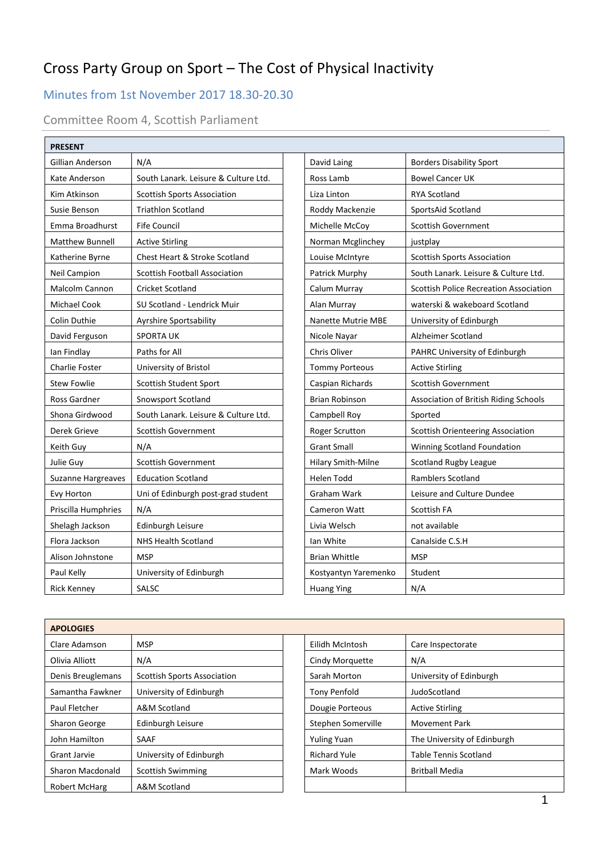# Cross Party Group on Sport – The Cost of Physical Inactivity

# Minutes from 1st November 2017 18.30-20.30

Committee Room 4, Scottish Parliament

| <b>PRESENT</b>            |                                      |                           |                                               |
|---------------------------|--------------------------------------|---------------------------|-----------------------------------------------|
| <b>Gillian Anderson</b>   | N/A                                  | David Laing               | <b>Borders Disability Sport</b>               |
| Kate Anderson             | South Lanark. Leisure & Culture Ltd. | Ross Lamb                 | <b>Bowel Cancer UK</b>                        |
| Kim Atkinson              | <b>Scottish Sports Association</b>   | Liza Linton               | <b>RYA Scotland</b>                           |
| Susie Benson              | <b>Triathlon Scotland</b>            | Roddy Mackenzie           | SportsAid Scotland                            |
| Emma Broadhurst           | <b>Fife Council</b>                  | Michelle McCoy            | <b>Scottish Government</b>                    |
| Matthew Bunnell           | <b>Active Stirling</b>               | Norman Mcglinchey         | justplay                                      |
| Katherine Byrne           | Chest Heart & Stroke Scotland        | Louise McIntyre           | <b>Scottish Sports Association</b>            |
| Neil Campion              | <b>Scottish Football Association</b> | Patrick Murphy            | South Lanark. Leisure & Culture Ltd.          |
| Malcolm Cannon            | <b>Cricket Scotland</b>              | Calum Murray              | <b>Scottish Police Recreation Association</b> |
| Michael Cook              | SU Scotland - Lendrick Muir          | Alan Murray               | waterski & wakeboard Scotland                 |
| <b>Colin Duthie</b>       | Ayrshire Sportsability               | <b>Nanette Mutrie MBE</b> | University of Edinburgh                       |
| David Ferguson            | <b>SPORTA UK</b>                     | Nicole Nayar              | Alzheimer Scotland                            |
| lan Findlay               | Paths for All                        | Chris Oliver              | PAHRC University of Edinburgh                 |
| <b>Charlie Foster</b>     | University of Bristol                | <b>Tommy Porteous</b>     | <b>Active Stirling</b>                        |
| <b>Stew Fowlie</b>        | Scottish Student Sport               | Caspian Richards          | <b>Scottish Government</b>                    |
| Ross Gardner              | Snowsport Scotland                   | <b>Brian Robinson</b>     | Association of British Riding Schools         |
| Shona Girdwood            | South Lanark. Leisure & Culture Ltd. | Campbell Roy              | Sported                                       |
| Derek Grieve              | <b>Scottish Government</b>           | Roger Scrutton            | Scottish Orienteering Association             |
| Keith Guy                 | N/A                                  | <b>Grant Small</b>        | Winning Scotland Foundation                   |
| Julie Guy                 | <b>Scottish Government</b>           | Hilary Smith-Milne        | Scotland Rugby League                         |
| <b>Suzanne Hargreaves</b> | <b>Education Scotland</b>            | <b>Helen Todd</b>         | <b>Ramblers Scotland</b>                      |
| Evy Horton                | Uni of Edinburgh post-grad student   | Graham Wark               | Leisure and Culture Dundee                    |
| Priscilla Humphries       | N/A                                  | Cameron Watt              | Scottish FA                                   |
| Shelagh Jackson           | Edinburgh Leisure                    | Livia Welsch              | not available                                 |
| Flora Jackson             | <b>NHS Health Scotland</b>           | Ian White                 | Canalside C.S.H                               |
| Alison Johnstone          | <b>MSP</b>                           | <b>Brian Whittle</b>      | <b>MSP</b>                                    |
| Paul Kelly                | University of Edinburgh              | Kostyantyn Yaremenko      | Student                                       |
| <b>Rick Kenney</b>        | SALSC                                | <b>Huang Ying</b>         | N/A                                           |

| <b>APOLOGIES</b>     |                                    |                     |                              |
|----------------------|------------------------------------|---------------------|------------------------------|
| Clare Adamson        | MSP                                | Eilidh McIntosh     | Care Inspectorate            |
| Olivia Alliott       | N/A                                | Cindy Morquette     | N/A                          |
| Denis Breuglemans    | <b>Scottish Sports Association</b> | Sarah Morton        | University of Edinburgh      |
| Samantha Fawkner     | University of Edinburgh            | Tony Penfold        | JudoScotland                 |
| Paul Fletcher        | A&M Scotland                       | Dougie Porteous     | <b>Active Stirling</b>       |
| Sharon George        | Edinburgh Leisure                  | Stephen Somerville  | <b>Movement Park</b>         |
| John Hamilton        | SAAF                               | <b>Yuling Yuan</b>  | The University of Edinburgh  |
| <b>Grant Jarvie</b>  | University of Edinburgh            | <b>Richard Yule</b> | <b>Table Tennis Scotland</b> |
| Sharon Macdonald     | <b>Scottish Swimming</b>           | Mark Woods          | <b>Britball Media</b>        |
| <b>Robert McHarg</b> | A&M Scotland                       |                     |                              |

| Eilidh McIntosh     | Care Inspectorate            |  |
|---------------------|------------------------------|--|
| Cindy Morguette     | N/A                          |  |
| Sarah Morton        | University of Edinburgh      |  |
| <b>Tony Penfold</b> | JudoScotland                 |  |
| Dougie Porteous     | <b>Active Stirling</b>       |  |
| Stephen Somerville  | Movement Park                |  |
| <b>Yuling Yuan</b>  | The University of Edinburgh  |  |
| <b>Richard Yule</b> | <b>Table Tennis Scotland</b> |  |
| Mark Woods          | <b>Britball Media</b>        |  |
|                     |                              |  |

 $\overline{\phantom{a}}$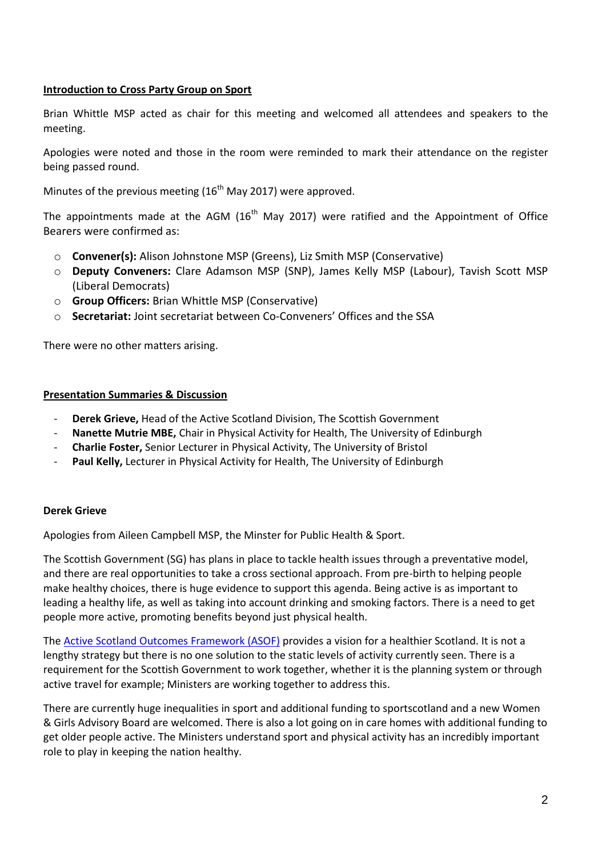#### **Introduction to Cross Party Group on Sport**

Brian Whittle MSP acted as chair for this meeting and welcomed all attendees and speakers to the meeting.

Apologies were noted and those in the room were reminded to mark their attendance on the register being passed round.

Minutes of the previous meeting  $(16<sup>th</sup>$  May 2017) were approved.

The appointments made at the AGM  $(16<sup>th</sup>$  May 2017) were ratified and the Appointment of Office Bearers were confirmed as:

- o **Convener(s):** Alison Johnstone MSP (Greens), Liz Smith MSP (Conservative)
- o **Deputy Conveners:** Clare Adamson MSP (SNP), James Kelly MSP (Labour), Tavish Scott MSP (Liberal Democrats)
- o **Group Officers:** Brian Whittle MSP (Conservative)
- o **Secretariat:** Joint secretariat between Co-Conveners' Offices and the SSA

There were no other matters arising.

#### **Presentation Summaries & Discussion**

- **Derek Grieve,** Head of the Active Scotland Division, The Scottish Government
- **Nanette Mutrie MBE,** Chair in Physical Activity for Health, The University of Edinburgh
- **Charlie Foster,** Senior Lecturer in Physical Activity, The University of Bristol
- Paul Kelly, Lecturer in Physical Activity for Health, The University of Edinburgh

#### **Derek Grieve**

Apologies from Aileen Campbell MSP, the Minster for Public Health & Sport.

The Scottish Government (SG) has plans in place to tackle health issues through a preventative model, and there are real opportunities to take a cross sectional approach. From pre-birth to helping people make healthy choices, there is huge evidence to support this agenda. Being active is as important to leading a healthy life, as well as taking into account drinking and smoking factors. There is a need to get people more active, promoting benefits beyond just physical health.

The [Active Scotland Outcomes Framework \(ASOF\)](http://www.gov.scot/About/Performance/scotPerforms/partnerstories/Outcomes-Framework) provides a vision for a healthier Scotland. It is not a lengthy strategy but there is no one solution to the static levels of activity currently seen. There is a requirement for the Scottish Government to work together, whether it is the planning system or through active travel for example; Ministers are working together to address this.

There are currently huge inequalities in sport and additional funding to sportscotland and a new Women & Girls Advisory Board are welcomed. There is also a lot going on in care homes with additional funding to get older people active. The Ministers understand sport and physical activity has an incredibly important role to play in keeping the nation healthy.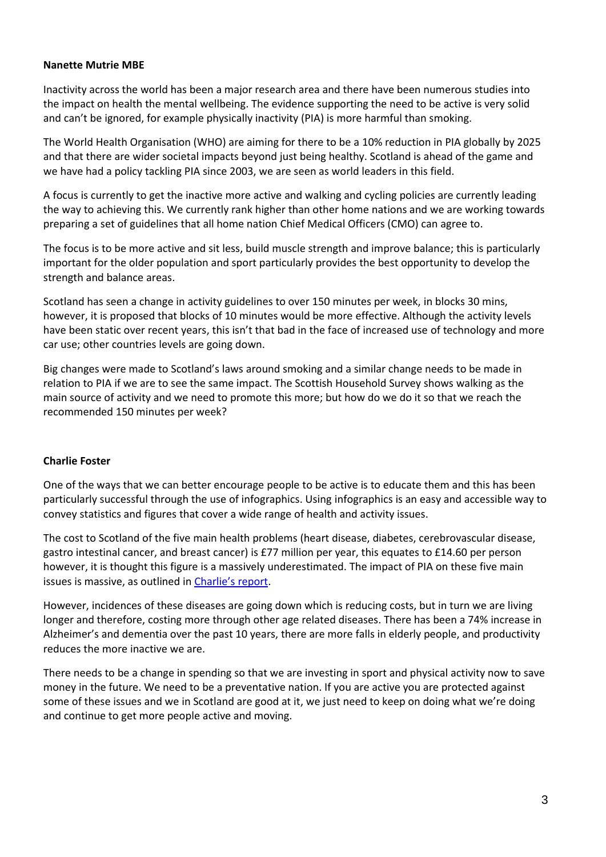#### **Nanette Mutrie MBE**

Inactivity across the world has been a major research area and there have been numerous studies into the impact on health the mental wellbeing. The evidence supporting the need to be active is very solid and can't be ignored, for example physically inactivity (PIA) is more harmful than smoking.

The World Health Organisation (WHO) are aiming for there to be a 10% reduction in PIA globally by 2025 and that there are wider societal impacts beyond just being healthy. Scotland is ahead of the game and we have had a policy tackling PIA since 2003, we are seen as world leaders in this field.

A focus is currently to get the inactive more active and walking and cycling policies are currently leading the way to achieving this. We currently rank higher than other home nations and we are working towards preparing a set of guidelines that all home nation Chief Medical Officers (CMO) can agree to.

The focus is to be more active and sit less, build muscle strength and improve balance; this is particularly important for the older population and sport particularly provides the best opportunity to develop the strength and balance areas.

Scotland has seen a change in activity guidelines to over 150 minutes per week, in blocks 30 mins, however, it is proposed that blocks of 10 minutes would be more effective. Although the activity levels have been static over recent years, this isn't that bad in the face of increased use of technology and more car use; other countries levels are going down.

Big changes were made to Scotland's laws around smoking and a similar change needs to be made in relation to PIA if we are to see the same impact. The Scottish Household Survey shows walking as the main source of activity and we need to promote this more; but how do we do it so that we reach the recommended 150 minutes per week?

#### **Charlie Foster**

One of the ways that we can better encourage people to be active is to educate them and this has been particularly successful through the use of infographics. Using infographics is an easy and accessible way to convey statistics and figures that cover a wide range of health and activity issues.

The cost to Scotland of the five main health problems (heart disease, diabetes, cerebrovascular disease, gastro intestinal cancer, and breast cancer) is £77 million per year, this equates to £14.60 per person however, it is thought this figure is a massively underestimated. The impact of PIA on these five main issues is massive, as outlined in [Charlie's report](http://thessa.org.uk/details/87/39/Cost-of-Physical-Inactivity-Report).

However, incidences of these diseases are going down which is reducing costs, but in turn we are living longer and therefore, costing more through other age related diseases. There has been a 74% increase in Alzheimer's and dementia over the past 10 years, there are more falls in elderly people, and productivity reduces the more inactive we are.

There needs to be a change in spending so that we are investing in sport and physical activity now to save money in the future. We need to be a preventative nation. If you are active you are protected against some of these issues and we in Scotland are good at it, we just need to keep on doing what we're doing and continue to get more people active and moving.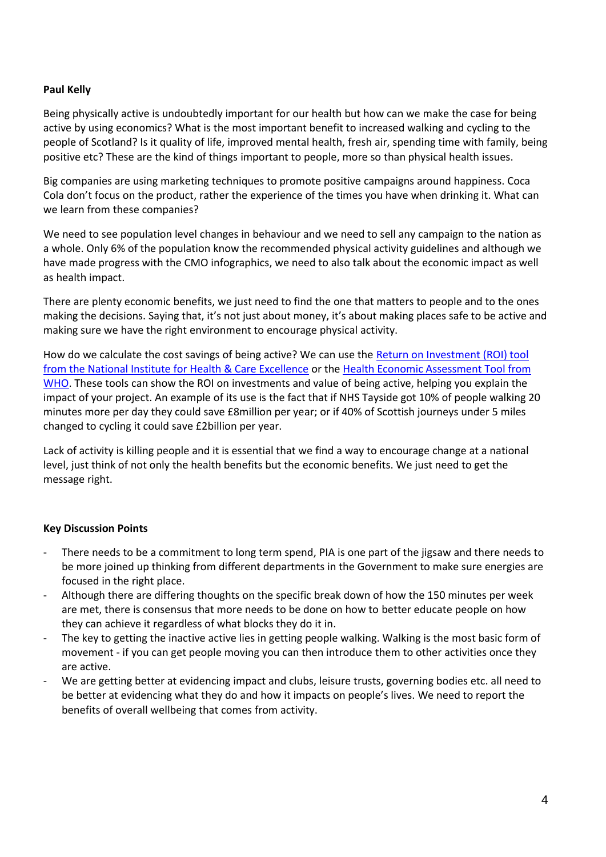## **Paul Kelly**

Being physically active is undoubtedly important for our health but how can we make the case for being active by using economics? What is the most important benefit to increased walking and cycling to the people of Scotland? Is it quality of life, improved mental health, fresh air, spending time with family, being positive etc? These are the kind of things important to people, more so than physical health issues.

Big companies are using marketing techniques to promote positive campaigns around happiness. Coca Cola don't focus on the product, rather the experience of the times you have when drinking it. What can we learn from these companies?

We need to see population level changes in behaviour and we need to sell any campaign to the nation as a whole. Only 6% of the population know the recommended physical activity guidelines and although we have made progress with the CMO infographics, we need to also talk about the economic impact as well as health impact.

There are plenty economic benefits, we just need to find the one that matters to people and to the ones making the decisions. Saying that, it's not just about money, it's about making places safe to be active and making sure we have the right environment to encourage physical activity.

How do we calculate the cost savings of being active? We can use the [Return on Investment \(ROI\) tool](https://www.nice.org.uk/about/what-we-do/into-practice/return-on-investment-tools)  [from the National Institute for Health & Care Excellence](https://www.nice.org.uk/about/what-we-do/into-practice/return-on-investment-tools) or the [Health Economic Assessment Tool from](http://www.heatwalkingcycling.org/)  [WHO.](http://www.heatwalkingcycling.org/) These tools can show the ROI on investments and value of being active, helping you explain the impact of your project. An example of its use is the fact that if NHS Tayside got 10% of people walking 20 minutes more per day they could save £8million per year; or if 40% of Scottish journeys under 5 miles changed to cycling it could save £2billion per year.

Lack of activity is killing people and it is essential that we find a way to encourage change at a national level, just think of not only the health benefits but the economic benefits. We just need to get the message right.

#### **Key Discussion Points**

- There needs to be a commitment to long term spend, PIA is one part of the jigsaw and there needs to be more joined up thinking from different departments in the Government to make sure energies are focused in the right place.
- Although there are differing thoughts on the specific break down of how the 150 minutes per week are met, there is consensus that more needs to be done on how to better educate people on how they can achieve it regardless of what blocks they do it in.
- The key to getting the inactive active lies in getting people walking. Walking is the most basic form of movement - if you can get people moving you can then introduce them to other activities once they are active.
- We are getting better at evidencing impact and clubs, leisure trusts, governing bodies etc. all need to be better at evidencing what they do and how it impacts on people's lives. We need to report the benefits of overall wellbeing that comes from activity.